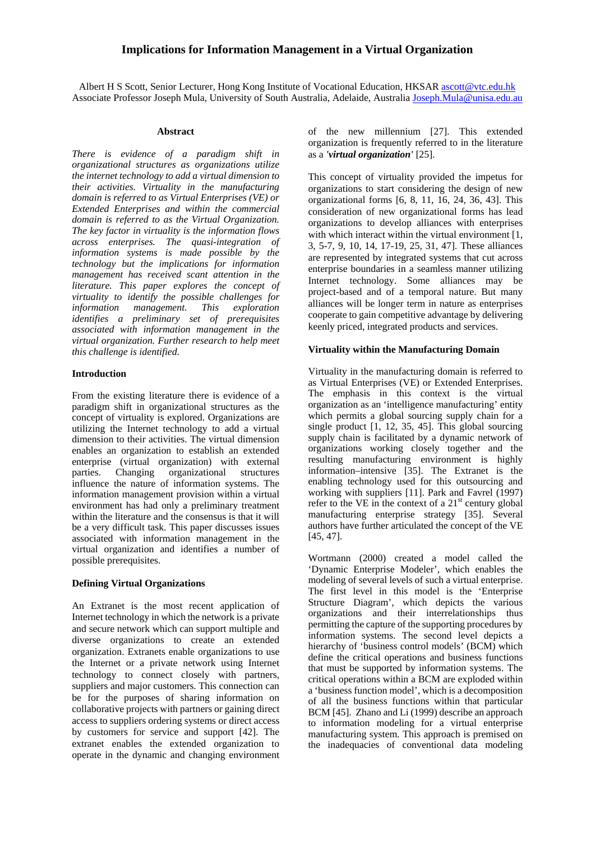# **Implications for Information Management in a Virtual Organization**

Albert H S Scott, Senior Lecturer, Hong Kong Institute of Vocational Education, HKSAR ascott@vtc.edu.hk Associate Professor Joseph Mula, University of South Australia, Adelaide, Australia Joseph.Mula@unisa.edu.au

#### **Abstract**

*There is evidence of a paradigm shift in organizational structures as organizations utilize the internet technology to add a virtual dimension to their activities. Virtuality in the manufacturing domain is referred to as Virtual Enterprises (VE) or Extended Enterprises and within the commercial domain is referred to as the Virtual Organization. The key factor in virtuality is the information flows across enterprises. The quasi-integration of information systems is made possible by the technology but the implications for information management has received scant attention in the literature. This paper explores the concept of virtuality to identify the possible challenges for information management. This exploration identifies a preliminary set of prerequisites associated with information management in the virtual organization. Further research to help meet this challenge is identified.* 

### **Introduction**

From the existing literature there is evidence of a paradigm shift in organizational structures as the concept of virtuality is explored. Organizations are utilizing the Internet technology to add a virtual dimension to their activities. The virtual dimension enables an organization to establish an extended enterprise (virtual organization) with external<br>parties. Changing organizational structures Changing organizational structures influence the nature of information systems. The information management provision within a virtual environment has had only a preliminary treatment within the literature and the consensus is that it will be a very difficult task. This paper discusses issues associated with information management in the virtual organization and identifies a number of possible prerequisites.

## **Defining Virtual Organizations**

An Extranet is the most recent application of Internet technology in which the network is a private and secure network which can support multiple and diverse organizations to create an extended organization. Extranets enable organizations to use the Internet or a private network using Internet technology to connect closely with partners, suppliers and major customers. This connection can be for the purposes of sharing information on collaborative projects with partners or gaining direct access to suppliers ordering systems or direct access by customers for service and support [42]. The extranet enables the extended organization to operate in the dynamic and changing environment of the new millennium [27]. This extended organization is frequently referred to in the literature as a *'virtual organization'* [25].

This concept of virtuality provided the impetus for organizations to start considering the design of new organizational forms [6, 8, 11, 16, 24, 36, 43]. This consideration of new organizational forms has lead organizations to develop alliances with enterprises with which interact within the virtual environment [1, 3, 5-7, 9, 10, 14, 17-19, 25, 31, 47]. These alliances are represented by integrated systems that cut across enterprise boundaries in a seamless manner utilizing Internet technology. Some alliances may be project-based and of a temporal nature. But many alliances will be longer term in nature as enterprises cooperate to gain competitive advantage by delivering keenly priced, integrated products and services.

### **Virtuality within the Manufacturing Domain**

Virtuality in the manufacturing domain is referred to as Virtual Enterprises (VE) or Extended Enterprises. The emphasis in this context is the virtual organization as an 'intelligence manufacturing' entity which permits a global sourcing supply chain for a single product [1, 12, 35, 45]. This global sourcing supply chain is facilitated by a dynamic network of organizations working closely together and the resulting manufacturing environment is highly information–intensive [35]. The Extranet is the enabling technology used for this outsourcing and working with suppliers [11]. Park and Favrel (1997) refer to the VE in the context of a  $21<sup>st</sup>$  century global manufacturing enterprise strategy [35]. Several authors have further articulated the concept of the VE [45, 47].

Wortmann (2000) created a model called the 'Dynamic Enterprise Modeler', which enables the modeling of several levels of such a virtual enterprise. The first level in this model is the 'Enterprise Structure Diagram', which depicts the various organizations and their interrelationships thus permitting the capture of the supporting procedures by information systems. The second level depicts a hierarchy of 'business control models' (BCM) which define the critical operations and business functions that must be supported by information systems. The critical operations within a BCM are exploded within a 'business function model', which is a decomposition of all the business functions within that particular BCM [45]. Zhano and Li (1999) describe an approach to information modeling for a virtual enterprise manufacturing system. This approach is premised on the inadequacies of conventional data modeling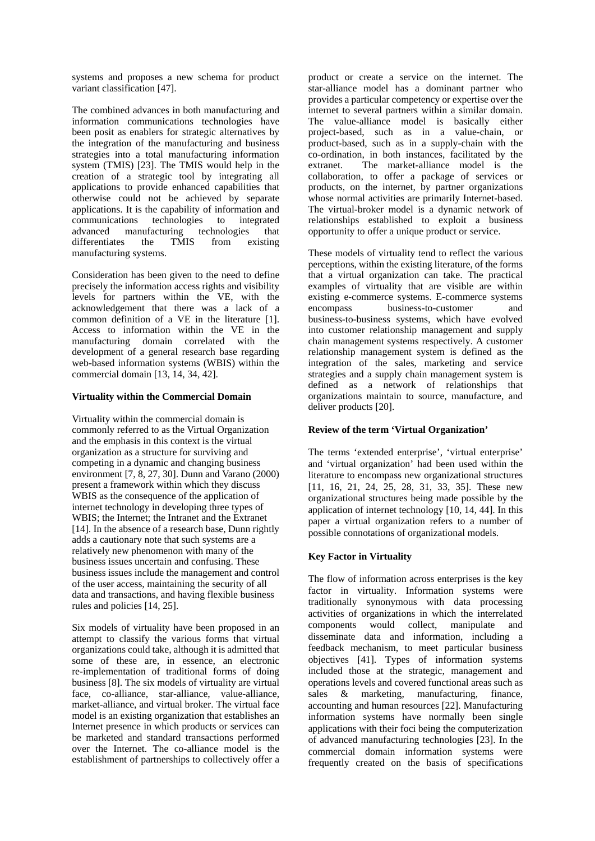systems and proposes a new schema for product variant classification [47].

The combined advances in both manufacturing and information communications technologies have been posit as enablers for strategic alternatives by the integration of the manufacturing and business strategies into a total manufacturing information system (TMIS) [23]. The TMIS would help in the creation of a strategic tool by integrating all applications to provide enhanced capabilities that otherwise could not be achieved by separate applications. It is the capability of information and communications technologies to integrated advanced manufacturing technologies that differentiates the TMIS from existing manufacturing systems.

Consideration has been given to the need to define precisely the information access rights and visibility levels for partners within the VE, with the acknowledgement that there was a lack of a common definition of a VE in the literature [1]. Access to information within the VE in the manufacturing domain correlated with the development of a general research base regarding web-based information systems (WBIS) within the commercial domain [13, 14, 34, 42].

### **Virtuality within the Commercial Domain**

Virtuality within the commercial domain is commonly referred to as the Virtual Organization and the emphasis in this context is the virtual organization as a structure for surviving and competing in a dynamic and changing business environment [7, 8, 27, 30]. Dunn and Varano (2000) present a framework within which they discuss WBIS as the consequence of the application of internet technology in developing three types of WBIS; the Internet; the Intranet and the Extranet [14]. In the absence of a research base, Dunn rightly adds a cautionary note that such systems are a relatively new phenomenon with many of the business issues uncertain and confusing. These business issues include the management and control of the user access, maintaining the security of all data and transactions, and having flexible business rules and policies [14, 25].

Six models of virtuality have been proposed in an attempt to classify the various forms that virtual organizations could take, although it is admitted that some of these are, in essence, an electronic re-implementation of traditional forms of doing business [8]. The six models of virtuality are virtual face, co-alliance, star-alliance, value-alliance, market-alliance, and virtual broker. The virtual face model is an existing organization that establishes an Internet presence in which products or services can be marketed and standard transactions performed over the Internet. The co-alliance model is the establishment of partnerships to collectively offer a

product or create a service on the internet. The star-alliance model has a dominant partner who provides a particular competency or expertise over the internet to several partners within a similar domain. The value-alliance model is basically either project-based, such as in a value-chain, or product-based, such as in a supply-chain with the co-ordination, in both instances, facilitated by the extranet. The market-alliance model is the collaboration, to offer a package of services or products, on the internet, by partner organizations whose normal activities are primarily Internet-based. The virtual-broker model is a dynamic network of relationships established to exploit a business opportunity to offer a unique product or service.

These models of virtuality tend to reflect the various perceptions, within the existing literature, of the forms that a virtual organization can take. The practical examples of virtuality that are visible are within existing e-commerce systems. E-commerce systems encompass business-to-customer and business-to-business systems, which have evolved into customer relationship management and supply chain management systems respectively. A customer relationship management system is defined as the integration of the sales, marketing and service strategies and a supply chain management system is defined as a network of relationships that organizations maintain to source, manufacture, and deliver products [20].

## **Review of the term 'Virtual Organization'**

The terms 'extended enterprise', 'virtual enterprise' and 'virtual organization' had been used within the literature to encompass new organizational structures [11, 16, 21, 24, 25, 28, 31, 33, 35]. These new organizational structures being made possible by the application of internet technology [10, 14, 44]. In this paper a virtual organization refers to a number of possible connotations of organizational models.

# **Key Factor in Virtuality**

The flow of information across enterprises is the key factor in virtuality. Information systems were traditionally synonymous with data processing activities of organizations in which the interrelated components would collect, manipulate and disseminate data and information, including a feedback mechanism, to meet particular business objectives [41]. Types of information systems included those at the strategic, management and operations levels and covered functional areas such as sales & marketing, manufacturing, finance, accounting and human resources [22]. Manufacturing information systems have normally been single applications with their foci being the computerization of advanced manufacturing technologies [23]. In the commercial domain information systems were frequently created on the basis of specifications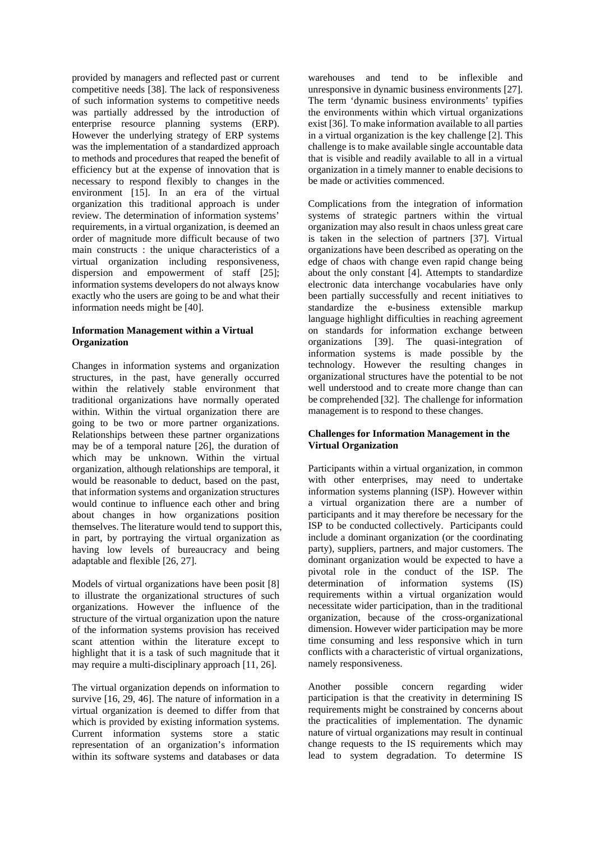provided by managers and reflected past or current competitive needs [38]. The lack of responsiveness of such information systems to competitive needs was partially addressed by the introduction of enterprise resource planning systems (ERP). However the underlying strategy of ERP systems was the implementation of a standardized approach to methods and procedures that reaped the benefit of efficiency but at the expense of innovation that is necessary to respond flexibly to changes in the environment [15]. In an era of the virtual organization this traditional approach is under review. The determination of information systems' requirements, in a virtual organization, is deemed an order of magnitude more difficult because of two main constructs : the unique characteristics of a virtual organization including responsiveness, dispersion and empowerment of staff [25]; information systems developers do not always know exactly who the users are going to be and what their information needs might be [40].

## **Information Management within a Virtual Organization**

Changes in information systems and organization structures, in the past, have generally occurred within the relatively stable environment that traditional organizations have normally operated within. Within the virtual organization there are going to be two or more partner organizations. Relationships between these partner organizations may be of a temporal nature [26], the duration of which may be unknown. Within the virtual organization, although relationships are temporal, it would be reasonable to deduct, based on the past, that information systems and organization structures would continue to influence each other and bring about changes in how organizations position themselves. The literature would tend to support this, in part, by portraying the virtual organization as having low levels of bureaucracy and being adaptable and flexible [26, 27].

Models of virtual organizations have been posit [8] to illustrate the organizational structures of such organizations. However the influence of the structure of the virtual organization upon the nature of the information systems provision has received scant attention within the literature except to highlight that it is a task of such magnitude that it may require a multi-disciplinary approach [11, 26].

The virtual organization depends on information to survive [16, 29, 46]. The nature of information in a virtual organization is deemed to differ from that which is provided by existing information systems. Current information systems store a static representation of an organization's information within its software systems and databases or data warehouses and tend to be inflexible and unresponsive in dynamic business environments [27]. The term 'dynamic business environments' typifies the environments within which virtual organizations exist [36]. To make information available to all parties in a virtual organization is the key challenge [2]. This challenge is to make available single accountable data that is visible and readily available to all in a virtual organization in a timely manner to enable decisions to be made or activities commenced.

Complications from the integration of information systems of strategic partners within the virtual organization may also result in chaos unless great care is taken in the selection of partners [37]. Virtual organizations have been described as operating on the edge of chaos with change even rapid change being about the only constant [4]. Attempts to standardize electronic data interchange vocabularies have only been partially successfully and recent initiatives to standardize the e-business extensible markup language highlight difficulties in reaching agreement on standards for information exchange between organizations [39]. The quasi-integration of information systems is made possible by the technology. However the resulting changes in organizational structures have the potential to be not well understood and to create more change than can be comprehended [32]. The challenge for information management is to respond to these changes.

## **Challenges for Information Management in the Virtual Organization**

Participants within a virtual organization, in common with other enterprises, may need to undertake information systems planning (ISP). However within a virtual organization there are a number of participants and it may therefore be necessary for the ISP to be conducted collectively. Participants could include a dominant organization (or the coordinating party), suppliers, partners, and major customers. The dominant organization would be expected to have a pivotal role in the conduct of the ISP. The determination of information systems (IS) requirements within a virtual organization would necessitate wider participation, than in the traditional organization, because of the cross-organizational dimension. However wider participation may be more time consuming and less responsive which in turn conflicts with a characteristic of virtual organizations, namely responsiveness.

Another possible concern regarding wider participation is that the creativity in determining IS requirements might be constrained by concerns about the practicalities of implementation. The dynamic nature of virtual organizations may result in continual change requests to the IS requirements which may lead to system degradation. To determine IS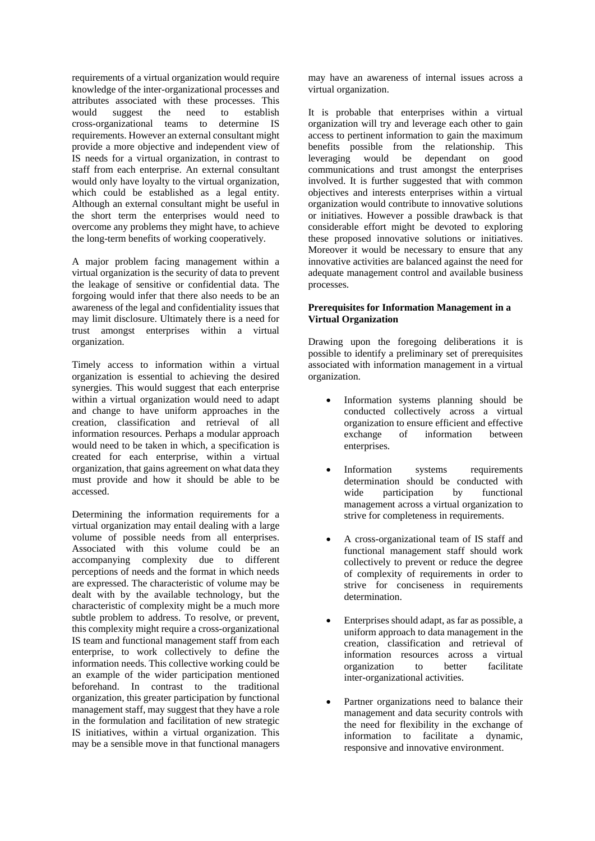requirements of a virtual organization would require knowledge of the inter-organizational processes and attributes associated with these processes. This would suggest the need to establish cross-organizational teams to determine IS requirements. However an external consultant might provide a more objective and independent view of IS needs for a virtual organization, in contrast to staff from each enterprise. An external consultant would only have loyalty to the virtual organization. which could be established as a legal entity. Although an external consultant might be useful in the short term the enterprises would need to overcome any problems they might have, to achieve the long-term benefits of working cooperatively*.* 

A major problem facing management within a virtual organization is the security of data to prevent the leakage of sensitive or confidential data. The forgoing would infer that there also needs to be an awareness of the legal and confidentiality issues that may limit disclosure. Ultimately there is a need for trust amongst enterprises within a virtual organization.

Timely access to information within a virtual organization is essential to achieving the desired synergies. This would suggest that each enterprise within a virtual organization would need to adapt and change to have uniform approaches in the creation, classification and retrieval of all information resources. Perhaps a modular approach would need to be taken in which, a specification is created for each enterprise, within a virtual organization, that gains agreement on what data they must provide and how it should be able to be accessed.

Determining the information requirements for a virtual organization may entail dealing with a large volume of possible needs from all enterprises. Associated with this volume could be an accompanying complexity due to different perceptions of needs and the format in which needs are expressed. The characteristic of volume may be dealt with by the available technology, but the characteristic of complexity might be a much more subtle problem to address. To resolve, or prevent, this complexity might require a cross-organizational IS team and functional management staff from each enterprise, to work collectively to define the information needs. This collective working could be an example of the wider participation mentioned beforehand. In contrast to the traditional organization, this greater participation by functional management staff, may suggest that they have a role in the formulation and facilitation of new strategic IS initiatives, within a virtual organization. This may be a sensible move in that functional managers

may have an awareness of internal issues across a virtual organization.

It is probable that enterprises within a virtual organization will try and leverage each other to gain access to pertinent information to gain the maximum benefits possible from the relationship. This leveraging would be dependant on good communications and trust amongst the enterprises involved. It is further suggested that with common objectives and interests enterprises within a virtual organization would contribute to innovative solutions or initiatives. However a possible drawback is that considerable effort might be devoted to exploring these proposed innovative solutions or initiatives. Moreover it would be necessary to ensure that any innovative activities are balanced against the need for adequate management control and available business processes.

## **Prerequisites for Information Management in a Virtual Organization**

Drawing upon the foregoing deliberations it is possible to identify a preliminary set of prerequisites associated with information management in a virtual organization.

- Information systems planning should be conducted collectively across a virtual organization to ensure efficient and effective exchange of information between enterprises.
- Information systems requirements determination should be conducted with wide participation by functional management across a virtual organization to strive for completeness in requirements.
- A cross-organizational team of IS staff and functional management staff should work collectively to prevent or reduce the degree of complexity of requirements in order to strive for conciseness in requirements determination.
- Enterprises should adapt, as far as possible, a uniform approach to data management in the creation, classification and retrieval of information resources across a virtual organization to better facilitate inter-organizational activities.
- Partner organizations need to balance their management and data security controls with the need for flexibility in the exchange of information to facilitate a dynamic, responsive and innovative environment.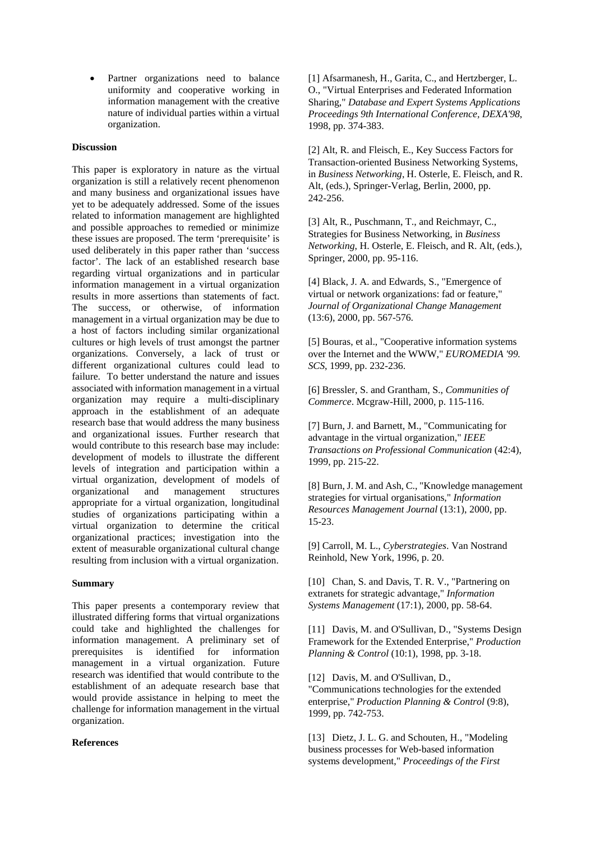• Partner organizations need to balance uniformity and cooperative working in information management with the creative nature of individual parties within a virtual organization.

## **Discussion**

This paper is exploratory in nature as the virtual organization is still a relatively recent phenomenon and many business and organizational issues have yet to be adequately addressed. Some of the issues related to information management are highlighted and possible approaches to remedied or minimize these issues are proposed. The term 'prerequisite' is used deliberately in this paper rather than 'success factor'. The lack of an established research base regarding virtual organizations and in particular information management in a virtual organization results in more assertions than statements of fact. The success, or otherwise, of information management in a virtual organization may be due to a host of factors including similar organizational cultures or high levels of trust amongst the partner organizations. Conversely, a lack of trust or different organizational cultures could lead to failure. To better understand the nature and issues associated with information management in a virtual organization may require a multi-disciplinary approach in the establishment of an adequate research base that would address the many business and organizational issues. Further research that would contribute to this research base may include: development of models to illustrate the different levels of integration and participation within a virtual organization, development of models of organizational and management structures appropriate for a virtual organization, longitudinal studies of organizations participating within a virtual organization to determine the critical organizational practices; investigation into the extent of measurable organizational cultural change resulting from inclusion with a virtual organization.

### **Summary**

This paper presents a contemporary review that illustrated differing forms that virtual organizations could take and highlighted the challenges for information management. A preliminary set of prerequisites is identified for information management in a virtual organization. Future research was identified that would contribute to the establishment of an adequate research base that would provide assistance in helping to meet the challenge for information management in the virtual organization.

#### **References**

[1] Afsarmanesh, H., Garita, C., and Hertzberger, L. O., "Virtual Enterprises and Federated Information Sharing," *Database and Expert Systems Applications Proceedings 9th International Conference, DEXA'98*, 1998, pp. 374-383.

[2] Alt, R. and Fleisch, E., Key Success Factors for Transaction-oriented Business Networking Systems, in *Business Networking*, H. Osterle, E. Fleisch, and R. Alt, (eds.), Springer-Verlag, Berlin, 2000, pp. 242-256.

[3] Alt, R., Puschmann, T., and Reichmayr, C., Strategies for Business Networking, in *Business Networking*, H. Osterle, E. Fleisch, and R. Alt, (eds.), Springer, 2000, pp. 95-116.

[4] Black, J. A. and Edwards, S., "Emergence of virtual or network organizations: fad or feature," *Journal of Organizational Change Management* (13:6), 2000, pp. 567-576.

[5] Bouras, et al., "Cooperative information systems over the Internet and the WWW," *EUROMEDIA '99. SCS*, 1999, pp. 232-236.

[6] Bressler, S. and Grantham, S., *Communities of Commerce*. Mcgraw-Hill, 2000, p. 115-116.

[7] Burn, J. and Barnett, M., "Communicating for advantage in the virtual organization," *IEEE Transactions on Professional Communication* (42:4), 1999, pp. 215-22.

[8] Burn, J. M. and Ash, C., "Knowledge management strategies for virtual organisations," *Information Resources Management Journal* (13:1), 2000, pp. 15-23.

[9] Carroll, M. L., *Cyberstrategies*. Van Nostrand Reinhold, New York, 1996, p. 20.

[10] Chan, S. and Davis, T. R. V., "Partnering on extranets for strategic advantage," *Information Systems Management* (17:1), 2000, pp. 58-64.

[11] Davis, M. and O'Sullivan, D., "Systems Design Framework for the Extended Enterprise," *Production Planning & Control* (10:1), 1998, pp. 3-18.

[12] Davis, M. and O'Sullivan, D., "Communications technologies for the extended enterprise," *Production Planning & Control* (9:8), 1999, pp. 742-753.

[13] Dietz, J. L. G. and Schouten, H., "Modeling business processes for Web-based information systems development," *Proceedings of the First*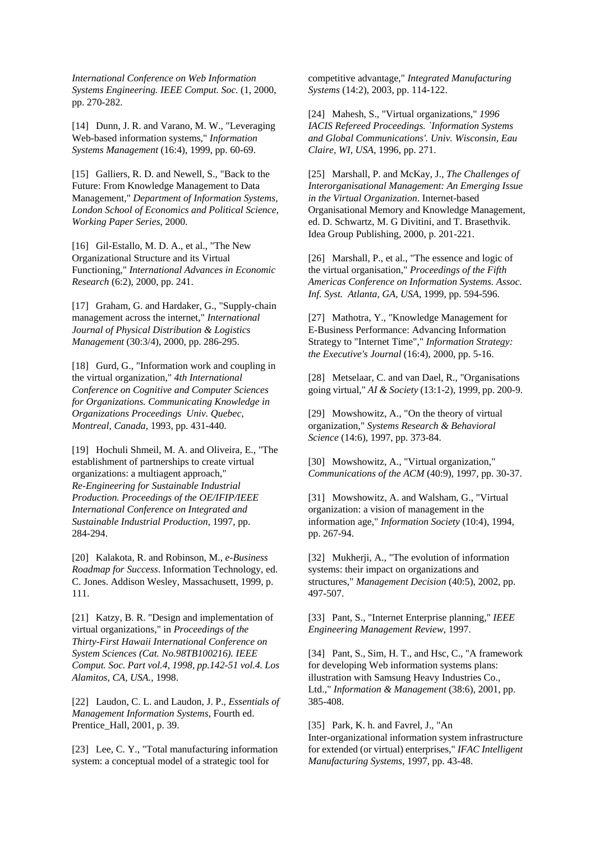*International Conference on Web Information Systems Engineering. IEEE Comput. Soc.* (1, 2000, pp. 270-282.

[14] Dunn, J. R. and Varano, M. W., "Leveraging Web-based information systems," *Information Systems Management* (16:4), 1999, pp. 60-69.

[15] Galliers, R. D. and Newell, S., "Back to the Future: From Knowledge Management to Data Management," *Department of Information Systems, London School of Economics and Political Science, Working Paper Series*, 2000.

[16] Gil-Estallo, M. D. A., et al., "The New Organizational Structure and its Virtual Functioning," *International Advances in Economic Research* (6:2), 2000, pp. 241.

[17] Graham, G. and Hardaker, G., "Supply-chain management across the internet," *International Journal of Physical Distribution & Logistics Management* (30:3/4), 2000, pp. 286-295.

[18] Gurd, G., "Information work and coupling in the virtual organization," *4th International Conference on Cognitive and Computer Sciences for Organizations. Communicating Knowledge in Organizations Proceedings Univ. Quebec, Montreal, Canada*, 1993, pp. 431-440.

[19] Hochuli Shmeil, M. A. and Oliveira, E., "The establishment of partnerships to create virtual organizations: a multiagent approach," *Re-Engineering for Sustainable Industrial Production. Proceedings of the OE/IFIP/IEEE International Conference on Integrated and Sustainable Industrial Production*, 1997, pp. 284-294.

[20] Kalakota, R. and Robinson, M., *e-Business Roadmap for Success*. Information Technology, ed. C. Jones. Addison Wesley, Massachusett, 1999, p. 111.

[21] Katzy, B. R. "Design and implementation of virtual organizations," in *Proceedings of the Thirty-First Hawaii International Conference on System Sciences (Cat. No.98TB100216). IEEE Comput. Soc. Part vol.4, 1998, pp.142-51 vol.4. Los Alamitos, CA, USA.*, 1998.

[22] Laudon, C. L. and Laudon, J. P., *Essentials of Management Information Systems*, Fourth ed. Prentice\_Hall, 2001, p. 39.

[23] Lee, C. Y., "Total manufacturing information system: a conceptual model of a strategic tool for

competitive advantage," *Integrated Manufacturing Systems* (14:2), 2003, pp. 114-122.

[24] Mahesh, S., "Virtual organizations," *1996 IACIS Refereed Proceedings. `Information Systems and Global Communications'. Univ. Wisconsin, Eau Claire, WI, USA*, 1996, pp. 271.

[25] Marshall, P. and McKay, J., *The Challenges of Interorganisational Management: An Emerging Issue in the Virtual Organization*. Internet-based Organisational Memory and Knowledge Management, ed. D. Schwartz, M. G Divitini, and T. Brasethvik. Idea Group Publishing, 2000, p. 201-221.

[26] Marshall, P., et al., "The essence and logic of the virtual organisation," *Proceedings of the Fifth Americas Conference on Information Systems. Assoc. Inf. Syst. Atlanta, GA, USA*, 1999, pp. 594-596.

[27] Mathotra, Y., "Knowledge Management for E-Business Performance: Advancing Information Strategy to "Internet Time"," *Information Strategy: the Executive's Journal* (16:4), 2000, pp. 5-16.

[28] Metselaar, C. and van Dael, R., "Organisations going virtual," *AI & Society* (13:1-2), 1999, pp. 200-9.

[29] Mowshowitz, A., "On the theory of virtual organization," *Systems Research & Behavioral Science* (14:6), 1997, pp. 373-84.

[30] Mowshowitz, A., "Virtual organization," *Communications of the ACM* (40:9), 1997, pp. 30-37.

[31] Mowshowitz, A. and Walsham, G., "Virtual organization: a vision of management in the information age," *Information Society* (10:4), 1994, pp. 267-94.

[32] Mukherji, A., "The evolution of information systems: their impact on organizations and structures," *Management Decision* (40:5), 2002, pp. 497-507.

[33] Pant, S., "Internet Enterprise planning," *IEEE Engineering Management Review*, 1997.

[34] Pant, S., Sim, H. T., and Hsc, C., "A framework for developing Web information systems plans: illustration with Samsung Heavy Industries Co., Ltd.," *Information & Management* (38:6), 2001, pp. 385-408.

[35] Park, K. h. and Favrel, J., "An Inter-organizational information system infrastructure for extended (or virtual) enterprises," *IFAC Intelligent Manufacturing Systems*, 1997, pp. 43-48.